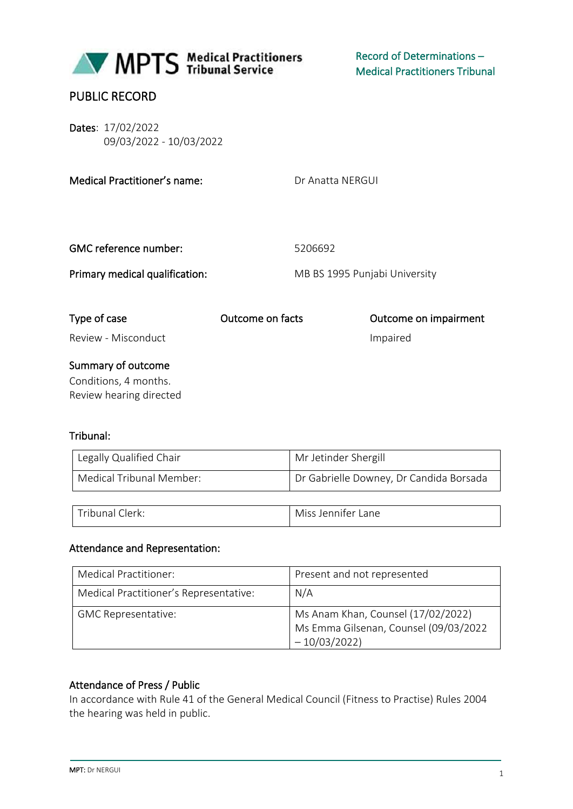

Summary of outcome Conditions, 4 months. Review hearing directed

#### Tribunal:

| Legally Qualified Chair  | Mr Jetinder Shergill                    |
|--------------------------|-----------------------------------------|
| Medical Tribunal Member: | Dr Gabrielle Downey, Dr Candida Borsada |
|                          |                                         |
| l Tribunal Clerk:        | Miss Jennifer Lane                      |

#### Attendance and Representation:

| Medical Practitioner:                  | Present and not represented                                                                  |
|----------------------------------------|----------------------------------------------------------------------------------------------|
| Medical Practitioner's Representative: | N/A                                                                                          |
| <b>GMC Representative:</b>             | Ms Anam Khan, Counsel (17/02/2022)<br>Ms Emma Gilsenan, Counsel (09/03/2022<br>$-10/03/2022$ |

#### Attendance of Press / Public

In accordance with Rule 41 of the General Medical Council (Fitness to Practise) Rules 2004 the hearing was held in public.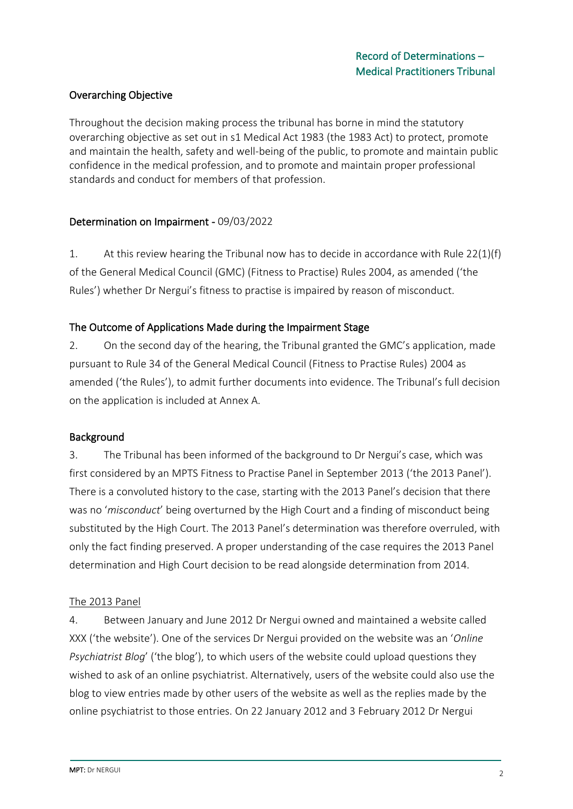# Overarching Objective

Throughout the decision making process the tribunal has borne in mind the statutory overarching objective as set out in s1 Medical Act 1983 (the 1983 Act) to protect, promote and maintain the health, safety and well-being of the public, to promote and maintain public confidence in the medical profession, and to promote and maintain proper professional standards and conduct for members of that profession.

### Determination on Impairment - 09/03/2022

1. At this review hearing the Tribunal now has to decide in accordance with Rule 22(1)(f) of the General Medical Council (GMC) (Fitness to Practise) Rules 2004, as amended ('the Rules') whether Dr Nergui's fitness to practise is impaired by reason of misconduct.

### The Outcome of Applications Made during the Impairment Stage

2. On the second day of the hearing, the Tribunal granted the GMC's application, made pursuant to Rule 34 of the General Medical Council (Fitness to Practise Rules) 2004 as amended ('the Rules'), to admit further documents into evidence. The Tribunal's full decision on the application is included at Annex A.

#### Background

3. The Tribunal has been informed of the background to Dr Nergui's case, which was first considered by an MPTS Fitness to Practise Panel in September 2013 ('the 2013 Panel'). There is a convoluted history to the case, starting with the 2013 Panel's decision that there was no '*misconduct*' being overturned by the High Court and a finding of misconduct being substituted by the High Court. The 2013 Panel's determination was therefore overruled, with only the fact finding preserved. A proper understanding of the case requires the 2013 Panel determination and High Court decision to be read alongside determination from 2014.

#### The 2013 Panel

4. Between January and June 2012 Dr Nergui owned and maintained a website called XXX ('the website'). One of the services Dr Nergui provided on the website was an '*Online Psychiatrist Blog*' ('the blog'), to which users of the website could upload questions they wished to ask of an online psychiatrist. Alternatively, users of the website could also use the blog to view entries made by other users of the website as well as the replies made by the online psychiatrist to those entries. On 22 January 2012 and 3 February 2012 Dr Nergui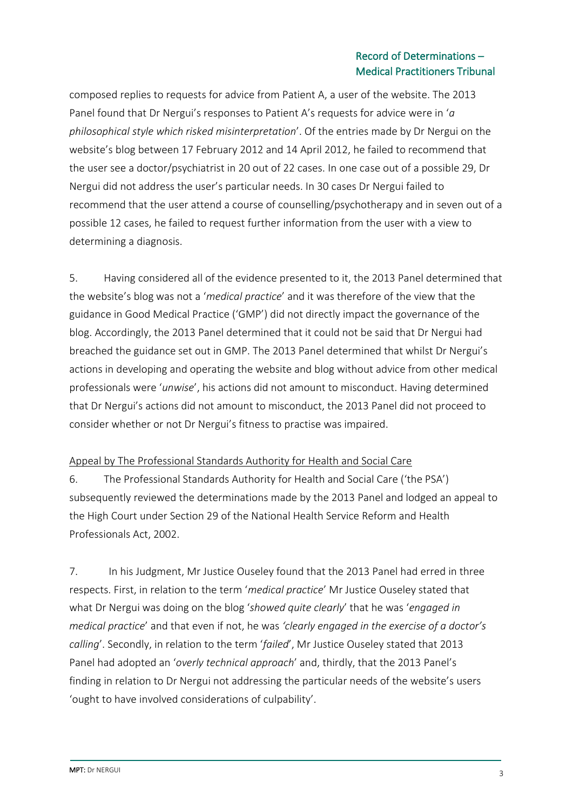composed replies to requests for advice from Patient A, a user of the website. The 2013 Panel found that Dr Nergui's responses to Patient A's requests for advice were in '*a philosophical style which risked misinterpretation*'. Of the entries made by Dr Nergui on the website's blog between 17 February 2012 and 14 April 2012, he failed to recommend that the user see a doctor/psychiatrist in 20 out of 22 cases. In one case out of a possible 29, Dr Nergui did not address the user's particular needs. In 30 cases Dr Nergui failed to recommend that the user attend a course of counselling/psychotherapy and in seven out of a possible 12 cases, he failed to request further information from the user with a view to determining a diagnosis.

5. Having considered all of the evidence presented to it, the 2013 Panel determined that the website's blog was not a '*medical practice*' and it was therefore of the view that the guidance in Good Medical Practice ('GMP') did not directly impact the governance of the blog. Accordingly, the 2013 Panel determined that it could not be said that Dr Nergui had breached the guidance set out in GMP. The 2013 Panel determined that whilst Dr Nergui's actions in developing and operating the website and blog without advice from other medical professionals were '*unwise*', his actions did not amount to misconduct. Having determined that Dr Nergui's actions did not amount to misconduct, the 2013 Panel did not proceed to consider whether or not Dr Nergui's fitness to practise was impaired.

### Appeal by The Professional Standards Authority for Health and Social Care

6. The Professional Standards Authority for Health and Social Care ('the PSA') subsequently reviewed the determinations made by the 2013 Panel and lodged an appeal to the High Court under Section 29 of the National Health Service Reform and Health Professionals Act, 2002.

7. In his Judgment, Mr Justice Ouseley found that the 2013 Panel had erred in three respects. First, in relation to the term '*medical practice*' Mr Justice Ouseley stated that what Dr Nergui was doing on the blog '*showed quite clearly*' that he was '*engaged in medical practice*' and that even if not, he was *'clearly engaged in the exercise of a doctor's calling*'. Secondly, in relation to the term '*failed*', Mr Justice Ouseley stated that 2013 Panel had adopted an '*overly technical approach*' and, thirdly, that the 2013 Panel's finding in relation to Dr Nergui not addressing the particular needs of the website's users 'ought to have involved considerations of culpability'.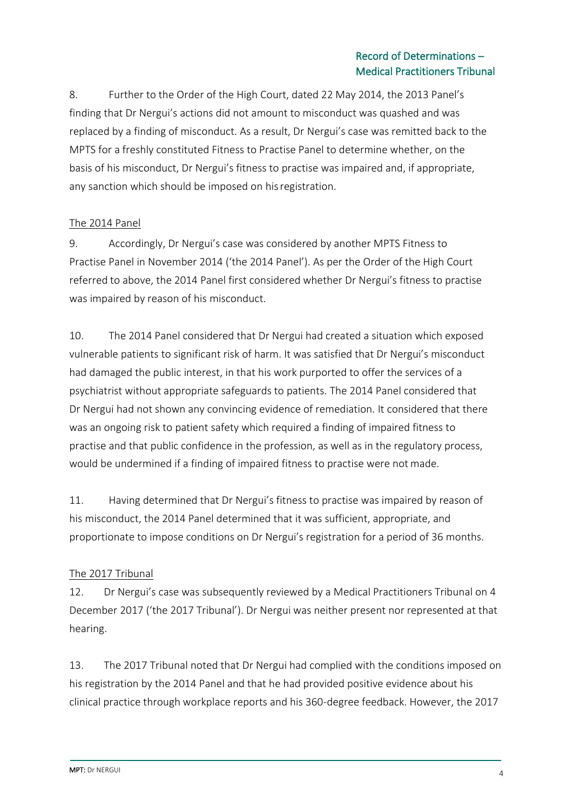8. Further to the Order of the High Court, dated 22 May 2014, the 2013 Panel's finding that Dr Nergui's actions did not amount to misconduct was quashed and was replaced by a finding of misconduct. As a result, Dr Nergui's case was remitted back to the MPTS for a freshly constituted Fitness to Practise Panel to determine whether, on the basis of his misconduct, Dr Nergui's fitness to practise was impaired and, if appropriate, any sanction which should be imposed on hisregistration.

## The 2014 Panel

9. Accordingly, Dr Nergui's case was considered by another MPTS Fitness to Practise Panel in November 2014 ('the 2014 Panel'). As per the Order of the High Court referred to above, the 2014 Panel first considered whether Dr Nergui's fitness to practise was impaired by reason of his misconduct.

10. The 2014 Panel considered that Dr Nergui had created a situation which exposed vulnerable patients to significant risk of harm. It was satisfied that Dr Nergui's misconduct had damaged the public interest, in that his work purported to offer the services of a psychiatrist without appropriate safeguards to patients. The 2014 Panel considered that Dr Nergui had not shown any convincing evidence of remediation. It considered that there was an ongoing risk to patient safety which required a finding of impaired fitness to practise and that public confidence in the profession, as well as in the regulatory process, would be undermined if a finding of impaired fitness to practise were not made.

11. Having determined that Dr Nergui's fitness to practise was impaired by reason of his misconduct, the 2014 Panel determined that it was sufficient, appropriate, and proportionate to impose conditions on Dr Nergui's registration for a period of 36 months.

# The 2017 Tribunal

12. Dr Nergui's case was subsequently reviewed by a Medical Practitioners Tribunal on 4 December 2017 ('the 2017 Tribunal'). Dr Nergui was neither present nor represented at that hearing.

13. The 2017 Tribunal noted that Dr Nergui had complied with the conditions imposed on his registration by the 2014 Panel and that he had provided positive evidence about his clinical practice through workplace reports and his 360-degree feedback. However, the 2017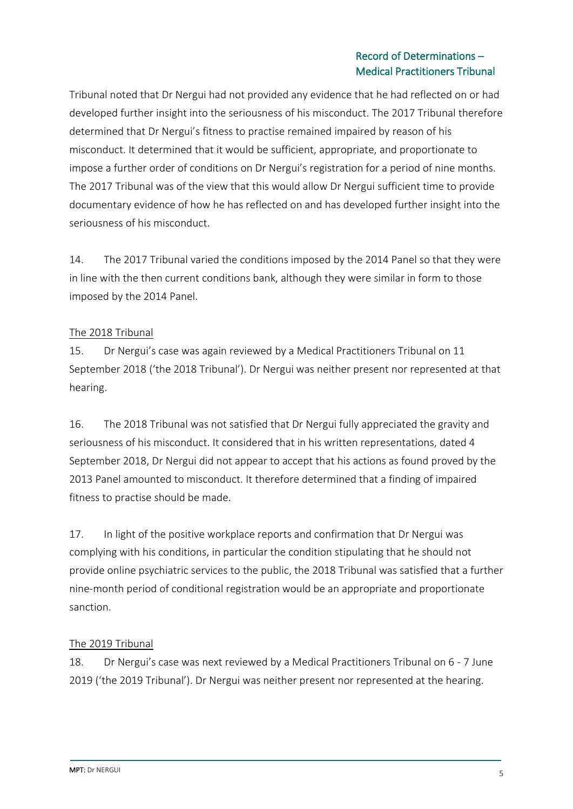Tribunal noted that Dr Nergui had not provided any evidence that he had reflected on or had developed further insight into the seriousness of his misconduct. The 2017 Tribunal therefore determined that Dr Nergui's fitness to practise remained impaired by reason of his misconduct. It determined that it would be sufficient, appropriate, and proportionate to impose a further order of conditions on Dr Nergui's registration for a period of nine months. The 2017 Tribunal was of the view that this would allow Dr Nergui sufficient time to provide documentary evidence of how he has reflected on and has developed further insight into the seriousness of his misconduct.

14. The 2017 Tribunal varied the conditions imposed by the 2014 Panel so that they were in line with the then current conditions bank, although they were similar in form to those imposed by the 2014 Panel.

### The 2018 Tribunal

15. Dr Nergui's case was again reviewed by a Medical Practitioners Tribunal on 11 September 2018 ('the 2018 Tribunal'). Dr Nergui was neither present nor represented at that hearing.

16. The 2018 Tribunal was not satisfied that Dr Nergui fully appreciated the gravity and seriousness of his misconduct. It considered that in his written representations, dated 4 September 2018, Dr Nergui did not appear to accept that his actions as found proved by the 2013 Panel amounted to misconduct. It therefore determined that a finding of impaired fitness to practise should be made.

17. In light of the positive workplace reports and confirmation that Dr Nergui was complying with his conditions, in particular the condition stipulating that he should not provide online psychiatric services to the public, the 2018 Tribunal was satisfied that a further nine-month period of conditional registration would be an appropriate and proportionate sanction.

# The 2019 Tribunal

18. Dr Nergui's case was next reviewed by a Medical Practitioners Tribunal on 6 - 7 June 2019 ('the 2019 Tribunal'). Dr Nergui was neither present nor represented at the hearing.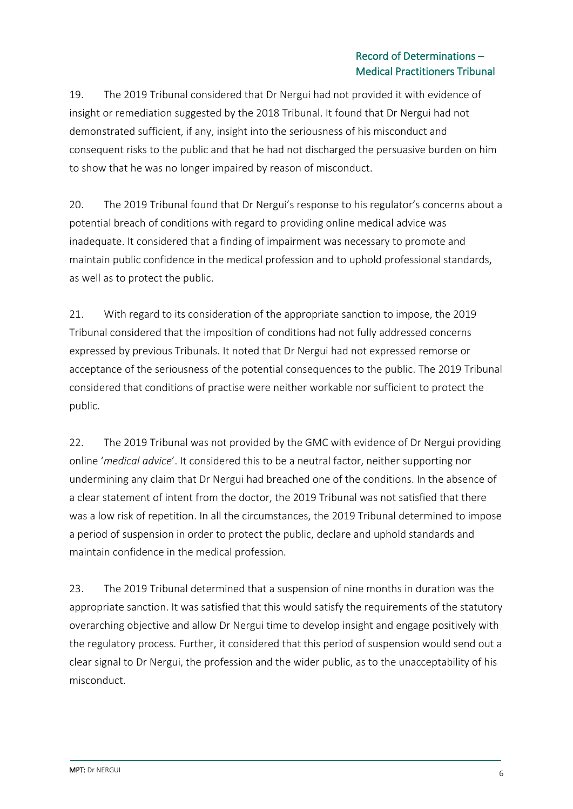19. The 2019 Tribunal considered that Dr Nergui had not provided it with evidence of insight or remediation suggested by the 2018 Tribunal. It found that Dr Nergui had not demonstrated sufficient, if any, insight into the seriousness of his misconduct and consequent risks to the public and that he had not discharged the persuasive burden on him to show that he was no longer impaired by reason of misconduct.

20. The 2019 Tribunal found that Dr Nergui's response to his regulator's concerns about a potential breach of conditions with regard to providing online medical advice was inadequate. It considered that a finding of impairment was necessary to promote and maintain public confidence in the medical profession and to uphold professional standards, as well as to protect the public.

21. With regard to its consideration of the appropriate sanction to impose, the 2019 Tribunal considered that the imposition of conditions had not fully addressed concerns expressed by previous Tribunals. It noted that Dr Nergui had not expressed remorse or acceptance of the seriousness of the potential consequences to the public. The 2019 Tribunal considered that conditions of practise were neither workable nor sufficient to protect the public.

22. The 2019 Tribunal was not provided by the GMC with evidence of Dr Nergui providing online '*medical advice*'. It considered this to be a neutral factor, neither supporting nor undermining any claim that Dr Nergui had breached one of the conditions. In the absence of a clear statement of intent from the doctor, the 2019 Tribunal was not satisfied that there was a low risk of repetition. In all the circumstances, the 2019 Tribunal determined to impose a period of suspension in order to protect the public, declare and uphold standards and maintain confidence in the medical profession.

23. The 2019 Tribunal determined that a suspension of nine months in duration was the appropriate sanction. It was satisfied that this would satisfy the requirements of the statutory overarching objective and allow Dr Nergui time to develop insight and engage positively with the regulatory process. Further, it considered that this period of suspension would send out a clear signal to Dr Nergui, the profession and the wider public, as to the unacceptability of his misconduct.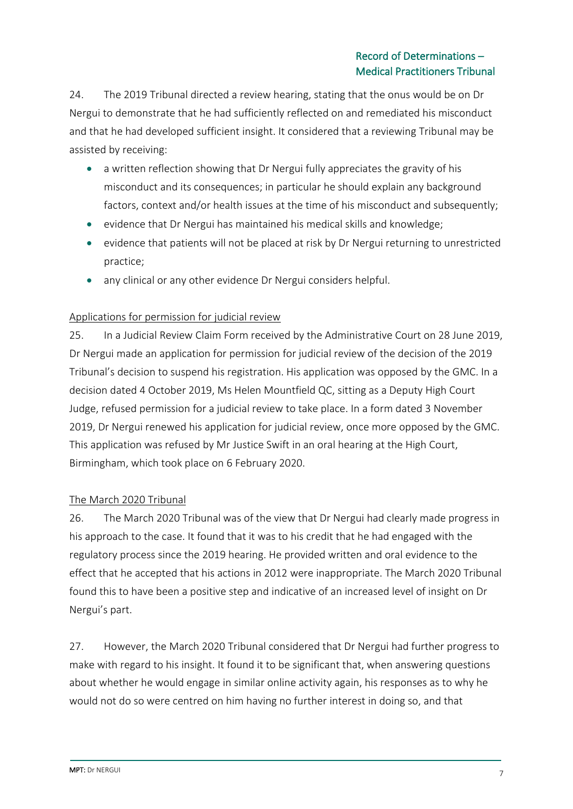24. The 2019 Tribunal directed a review hearing, stating that the onus would be on Dr Nergui to demonstrate that he had sufficiently reflected on and remediated his misconduct and that he had developed sufficient insight. It considered that a reviewing Tribunal may be assisted by receiving:

- a written reflection showing that Dr Nergui fully appreciates the gravity of his misconduct and its consequences; in particular he should explain any background factors, context and/or health issues at the time of his misconduct and subsequently;
- evidence that Dr Nergui has maintained his medical skills and knowledge;
- evidence that patients will not be placed at risk by Dr Nergui returning to unrestricted practice;
- any clinical or any other evidence Dr Nergui considers helpful.

### Applications for permission for judicial review

25. In a Judicial Review Claim Form received by the Administrative Court on 28 June 2019, Dr Nergui made an application for permission for judicial review of the decision of the 2019 Tribunal's decision to suspend his registration. His application was opposed by the GMC. In a decision dated 4 October 2019, Ms Helen Mountfield QC, sitting as a Deputy High Court Judge, refused permission for a judicial review to take place. In a form dated 3 November 2019, Dr Nergui renewed his application for judicial review, once more opposed by the GMC. This application was refused by Mr Justice Swift in an oral hearing at the High Court, Birmingham, which took place on 6 February 2020.

### The March 2020 Tribunal

26. The March 2020 Tribunal was of the view that Dr Nergui had clearly made progress in his approach to the case. It found that it was to his credit that he had engaged with the regulatory process since the 2019 hearing. He provided written and oral evidence to the effect that he accepted that his actions in 2012 were inappropriate. The March 2020 Tribunal found this to have been a positive step and indicative of an increased level of insight on Dr Nergui's part.

27. However, the March 2020 Tribunal considered that Dr Nergui had further progress to make with regard to his insight. It found it to be significant that, when answering questions about whether he would engage in similar online activity again, his responses as to why he would not do so were centred on him having no further interest in doing so, and that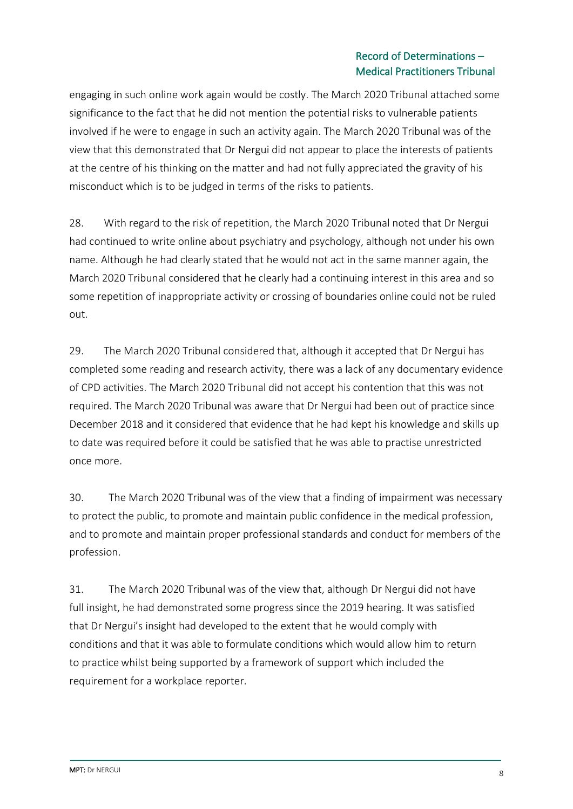engaging in such online work again would be costly. The March 2020 Tribunal attached some significance to the fact that he did not mention the potential risks to vulnerable patients involved if he were to engage in such an activity again. The March 2020 Tribunal was of the view that this demonstrated that Dr Nergui did not appear to place the interests of patients at the centre of his thinking on the matter and had not fully appreciated the gravity of his misconduct which is to be judged in terms of the risks to patients.

28. With regard to the risk of repetition, the March 2020 Tribunal noted that Dr Nergui had continued to write online about psychiatry and psychology, although not under his own name. Although he had clearly stated that he would not act in the same manner again, the March 2020 Tribunal considered that he clearly had a continuing interest in this area and so some repetition of inappropriate activity or crossing of boundaries online could not be ruled out.

29. The March 2020 Tribunal considered that, although it accepted that Dr Nergui has completed some reading and research activity, there was a lack of any documentary evidence of CPD activities. The March 2020 Tribunal did not accept his contention that this was not required. The March 2020 Tribunal was aware that Dr Nergui had been out of practice since December 2018 and it considered that evidence that he had kept his knowledge and skills up to date was required before it could be satisfied that he was able to practise unrestricted once more.

30. The March 2020 Tribunal was of the view that a finding of impairment was necessary to protect the public, to promote and maintain public confidence in the medical profession, and to promote and maintain proper professional standards and conduct for members of the profession.

31. The March 2020 Tribunal was of the view that, although Dr Nergui did not have full insight, he had demonstrated some progress since the 2019 hearing. It was satisfied that Dr Nergui's insight had developed to the extent that he would comply with conditions and that it was able to formulate conditions which would allow him to return to practice whilst being supported by a framework of support which included the requirement for a workplace reporter.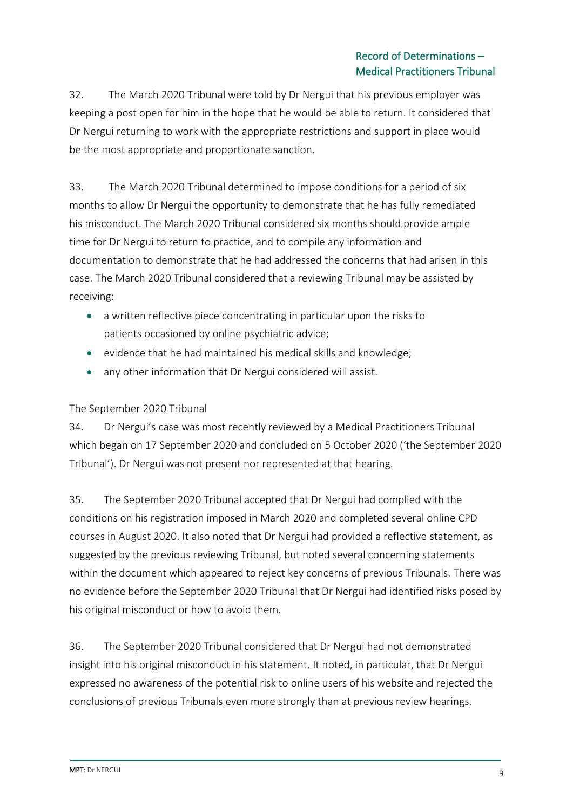32. The March 2020 Tribunal were told by Dr Nergui that his previous employer was keeping a post open for him in the hope that he would be able to return. It considered that Dr Nergui returning to work with the appropriate restrictions and support in place would be the most appropriate and proportionate sanction.

33. The March 2020 Tribunal determined to impose conditions for a period of six months to allow Dr Nergui the opportunity to demonstrate that he has fully remediated his misconduct. The March 2020 Tribunal considered six months should provide ample time for Dr Nergui to return to practice, and to compile any information and documentation to demonstrate that he had addressed the concerns that had arisen in this case. The March 2020 Tribunal considered that a reviewing Tribunal may be assisted by receiving:

- a written reflective piece concentrating in particular upon the risks to patients occasioned by online psychiatric advice;
- evidence that he had maintained his medical skills and knowledge;
- any other information that Dr Nergui considered will assist.

# The September 2020 Tribunal

34. Dr Nergui's case was most recently reviewed by a Medical Practitioners Tribunal which began on 17 September 2020 and concluded on 5 October 2020 ('the September 2020 Tribunal'). Dr Nergui was not present nor represented at that hearing.

35. The September 2020 Tribunal accepted that Dr Nergui had complied with the conditions on his registration imposed in March 2020 and completed several online CPD courses in August 2020. It also noted that Dr Nergui had provided a reflective statement, as suggested by the previous reviewing Tribunal, but noted several concerning statements within the document which appeared to reject key concerns of previous Tribunals. There was no evidence before the September 2020 Tribunal that Dr Nergui had identified risks posed by his original misconduct or how to avoid them.

36. The September 2020 Tribunal considered that Dr Nergui had not demonstrated insight into his original misconduct in his statement. It noted, in particular, that Dr Nergui expressed no awareness of the potential risk to online users of his website and rejected the conclusions of previous Tribunals even more strongly than at previous review hearings.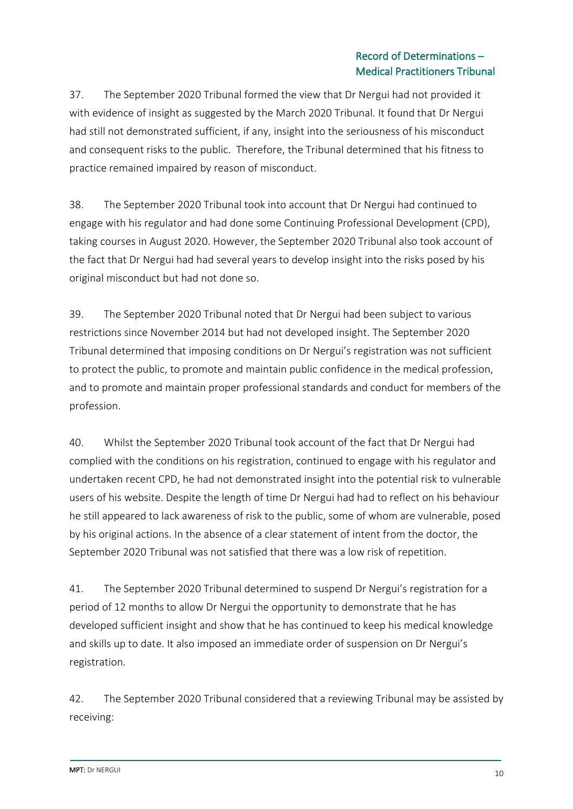37. The September 2020 Tribunal formed the view that Dr Nergui had not provided it with evidence of insight as suggested by the March 2020 Tribunal. It found that Dr Nergui had still not demonstrated sufficient, if any, insight into the seriousness of his misconduct and consequent risks to the public. Therefore, the Tribunal determined that his fitness to practice remained impaired by reason of misconduct.

38. The September 2020 Tribunal took into account that Dr Nergui had continued to engage with his regulator and had done some Continuing Professional Development (CPD), taking courses in August 2020. However, the September 2020 Tribunal also took account of the fact that Dr Nergui had had several years to develop insight into the risks posed by his original misconduct but had not done so.

39. The September 2020 Tribunal noted that Dr Nergui had been subject to various restrictions since November 2014 but had not developed insight. The September 2020 Tribunal determined that imposing conditions on Dr Nergui's registration was not sufficient to protect the public, to promote and maintain public confidence in the medical profession, and to promote and maintain proper professional standards and conduct for members of the profession.

40. Whilst the September 2020 Tribunal took account of the fact that Dr Nergui had complied with the conditions on his registration, continued to engage with his regulator and undertaken recent CPD, he had not demonstrated insight into the potential risk to vulnerable users of his website. Despite the length of time Dr Nergui had had to reflect on his behaviour he still appeared to lack awareness of risk to the public, some of whom are vulnerable, posed by his original actions. In the absence of a clear statement of intent from the doctor, the September 2020 Tribunal was not satisfied that there was a low risk of repetition.

41. The September 2020 Tribunal determined to suspend Dr Nergui's registration for a period of 12 months to allow Dr Nergui the opportunity to demonstrate that he has developed sufficient insight and show that he has continued to keep his medical knowledge and skills up to date. It also imposed an immediate order of suspension on Dr Nergui's registration.

42. The September 2020 Tribunal considered that a reviewing Tribunal may be assisted by receiving: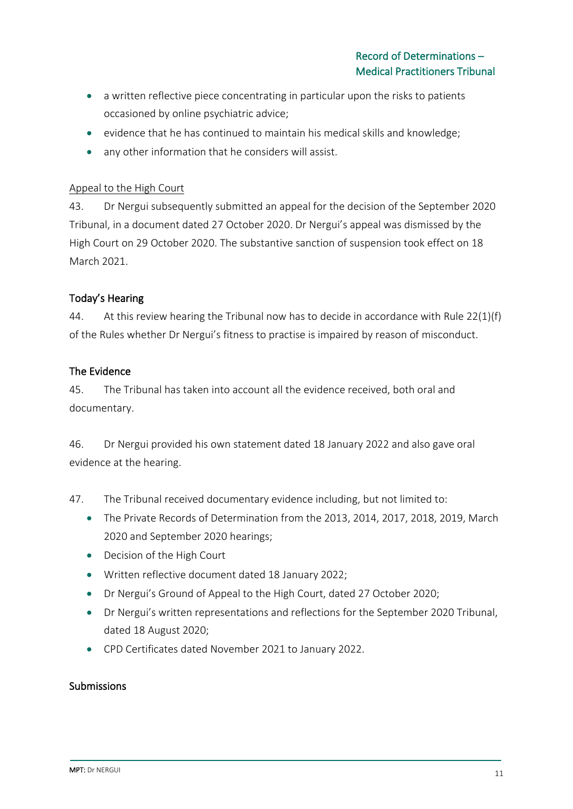- a written reflective piece concentrating in particular upon the risks to patients occasioned by online psychiatric advice;
- evidence that he has continued to maintain his medical skills and knowledge;
- any other information that he considers will assist.

#### Appeal to the High Court

43. Dr Nergui subsequently submitted an appeal for the decision of the September 2020 Tribunal, in a document dated 27 October 2020. Dr Nergui's appeal was dismissed by the High Court on 29 October 2020. The substantive sanction of suspension took effect on 18 March 2021.

### Today's Hearing

44. At this review hearing the Tribunal now has to decide in accordance with Rule 22(1)(f) of the Rules whether Dr Nergui's fitness to practise is impaired by reason of misconduct.

### The Evidence

45. The Tribunal has taken into account all the evidence received, both oral and documentary.

46. Dr Nergui provided his own statement dated 18 January 2022 and also gave oral evidence at the hearing.

47. The Tribunal received documentary evidence including, but not limited to:

- The Private Records of Determination from the 2013, 2014, 2017, 2018, 2019, March 2020 and September 2020 hearings;
- Decision of the High Court
- Written reflective document dated 18 January 2022;
- Dr Nergui's Ground of Appeal to the High Court, dated 27 October 2020;
- Dr Nergui's written representations and reflections for the September 2020 Tribunal, dated 18 August 2020;
- CPD Certificates dated November 2021 to January 2022.

### Submissions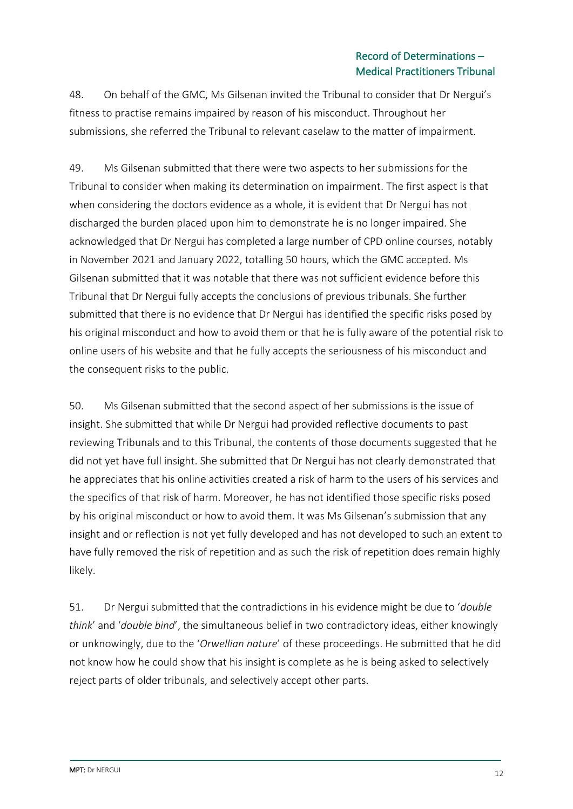48. On behalf of the GMC, Ms Gilsenan invited the Tribunal to consider that Dr Nergui's fitness to practise remains impaired by reason of his misconduct. Throughout her submissions, she referred the Tribunal to relevant caselaw to the matter of impairment.

49. Ms Gilsenan submitted that there were two aspects to her submissions for the Tribunal to consider when making its determination on impairment. The first aspect is that when considering the doctors evidence as a whole, it is evident that Dr Nergui has not discharged the burden placed upon him to demonstrate he is no longer impaired. She acknowledged that Dr Nergui has completed a large number of CPD online courses, notably in November 2021 and January 2022, totalling 50 hours, which the GMC accepted. Ms Gilsenan submitted that it was notable that there was not sufficient evidence before this Tribunal that Dr Nergui fully accepts the conclusions of previous tribunals. She further submitted that there is no evidence that Dr Nergui has identified the specific risks posed by his original misconduct and how to avoid them or that he is fully aware of the potential risk to online users of his website and that he fully accepts the seriousness of his misconduct and the consequent risks to the public.

50. Ms Gilsenan submitted that the second aspect of her submissions is the issue of insight. She submitted that while Dr Nergui had provided reflective documents to past reviewing Tribunals and to this Tribunal, the contents of those documents suggested that he did not yet have full insight. She submitted that Dr Nergui has not clearly demonstrated that he appreciates that his online activities created a risk of harm to the users of his services and the specifics of that risk of harm. Moreover, he has not identified those specific risks posed by his original misconduct or how to avoid them. It was Ms Gilsenan's submission that any insight and or reflection is not yet fully developed and has not developed to such an extent to have fully removed the risk of repetition and as such the risk of repetition does remain highly likely.

51. Dr Nergui submitted that the contradictions in his evidence might be due to '*double think*' and '*double bind*', the simultaneous belief in two contradictory ideas, either knowingly or unknowingly, due to the '*Orwellian nature*' of these proceedings. He submitted that he did not know how he could show that his insight is complete as he is being asked to selectively reject parts of older tribunals, and selectively accept other parts.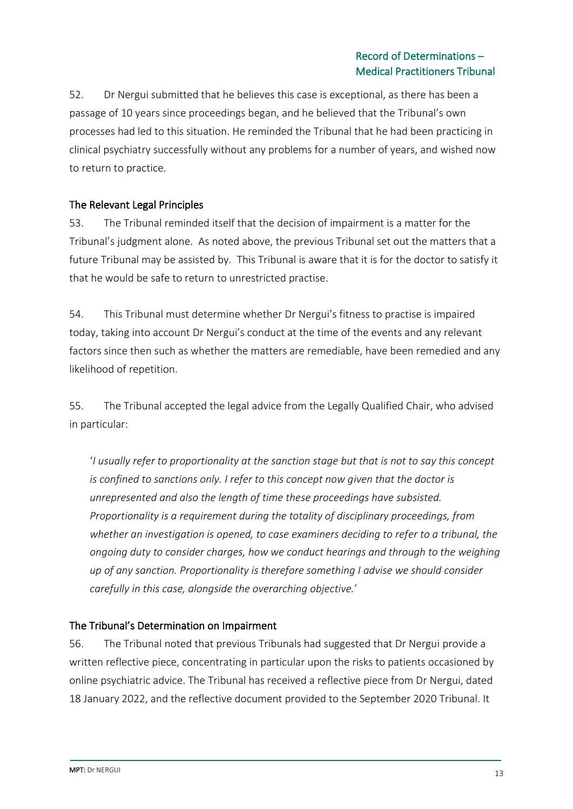52. Dr Nergui submitted that he believes this case is exceptional, as there has been a passage of 10 years since proceedings began, and he believed that the Tribunal's own processes had led to this situation. He reminded the Tribunal that he had been practicing in clinical psychiatry successfully without any problems for a number of years, and wished now to return to practice.

## The Relevant Legal Principles

53. The Tribunal reminded itself that the decision of impairment is a matter for the Tribunal's judgment alone. As noted above, the previous Tribunal set out the matters that a future Tribunal may be assisted by. This Tribunal is aware that it is for the doctor to satisfy it that he would be safe to return to unrestricted practise.

54. This Tribunal must determine whether Dr Nergui's fitness to practise is impaired today, taking into account Dr Nergui's conduct at the time of the events and any relevant factors since then such as whether the matters are remediable, have been remedied and any likelihood of repetition.

55. The Tribunal accepted the legal advice from the Legally Qualified Chair, who advised in particular:

'*I usually refer to proportionality at the sanction stage but that is not to say this concept is confined to sanctions only. I refer to this concept now given that the doctor is unrepresented and also the length of time these proceedings have subsisted. Proportionality is a requirement during the totality of disciplinary proceedings, from whether an investigation is opened, to case examiners deciding to refer to a tribunal, the ongoing duty to consider charges, how we conduct hearings and through to the weighing up of any sanction. Proportionality is therefore something I advise we should consider carefully in this case, alongside the overarching objective.*'

### The Tribunal's Determination on Impairment

56. The Tribunal noted that previous Tribunals had suggested that Dr Nergui provide a written reflective piece, concentrating in particular upon the risks to patients occasioned by online psychiatric advice. The Tribunal has received a reflective piece from Dr Nergui, dated 18 January 2022, and the reflective document provided to the September 2020 Tribunal. It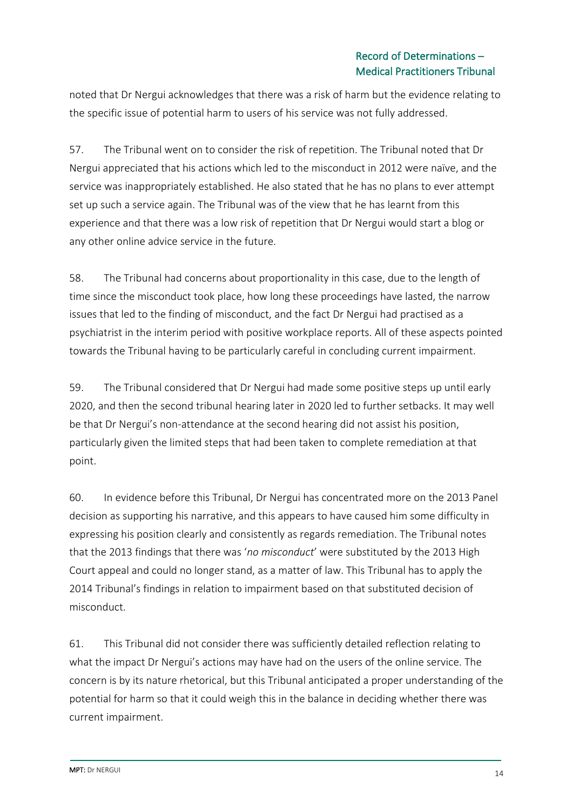noted that Dr Nergui acknowledges that there was a risk of harm but the evidence relating to the specific issue of potential harm to users of his service was not fully addressed.

57. The Tribunal went on to consider the risk of repetition. The Tribunal noted that Dr Nergui appreciated that his actions which led to the misconduct in 2012 were naïve, and the service was inappropriately established. He also stated that he has no plans to ever attempt set up such a service again. The Tribunal was of the view that he has learnt from this experience and that there was a low risk of repetition that Dr Nergui would start a blog or any other online advice service in the future.

58. The Tribunal had concerns about proportionality in this case, due to the length of time since the misconduct took place, how long these proceedings have lasted, the narrow issues that led to the finding of misconduct, and the fact Dr Nergui had practised as a psychiatrist in the interim period with positive workplace reports. All of these aspects pointed towards the Tribunal having to be particularly careful in concluding current impairment.

59. The Tribunal considered that Dr Nergui had made some positive steps up until early 2020, and then the second tribunal hearing later in 2020 led to further setbacks. It may well be that Dr Nergui's non-attendance at the second hearing did not assist his position, particularly given the limited steps that had been taken to complete remediation at that point.

60. In evidence before this Tribunal, Dr Nergui has concentrated more on the 2013 Panel decision as supporting his narrative, and this appears to have caused him some difficulty in expressing his position clearly and consistently as regards remediation. The Tribunal notes that the 2013 findings that there was '*no misconduct*' were substituted by the 2013 High Court appeal and could no longer stand, as a matter of law. This Tribunal has to apply the 2014 Tribunal's findings in relation to impairment based on that substituted decision of misconduct.

61. This Tribunal did not consider there was sufficiently detailed reflection relating to what the impact Dr Nergui's actions may have had on the users of the online service. The concern is by its nature rhetorical, but this Tribunal anticipated a proper understanding of the potential for harm so that it could weigh this in the balance in deciding whether there was current impairment.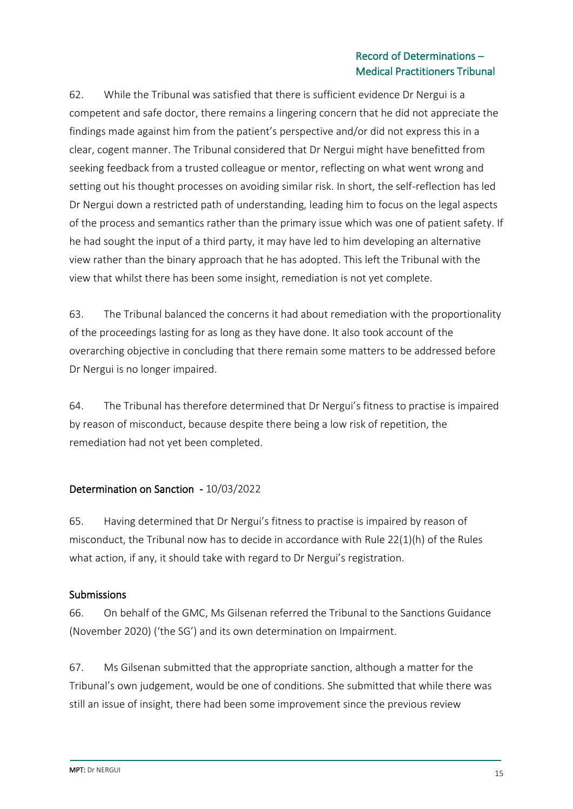62. While the Tribunal was satisfied that there is sufficient evidence Dr Nergui is a competent and safe doctor, there remains a lingering concern that he did not appreciate the findings made against him from the patient's perspective and/or did not express this in a clear, cogent manner. The Tribunal considered that Dr Nergui might have benefitted from seeking feedback from a trusted colleague or mentor, reflecting on what went wrong and setting out his thought processes on avoiding similar risk. In short, the self-reflection has led Dr Nergui down a restricted path of understanding, leading him to focus on the legal aspects of the process and semantics rather than the primary issue which was one of patient safety. If he had sought the input of a third party, it may have led to him developing an alternative view rather than the binary approach that he has adopted. This left the Tribunal with the view that whilst there has been some insight, remediation is not yet complete.

63. The Tribunal balanced the concerns it had about remediation with the proportionality of the proceedings lasting for as long as they have done. It also took account of the overarching objective in concluding that there remain some matters to be addressed before Dr Nergui is no longer impaired.

64. The Tribunal has therefore determined that Dr Nergui's fitness to practise is impaired by reason of misconduct, because despite there being a low risk of repetition, the remediation had not yet been completed.

# Determination on Sanction - 10/03/2022

65. Having determined that Dr Nergui's fitness to practise is impaired by reason of misconduct, the Tribunal now has to decide in accordance with Rule 22(1)(h) of the Rules what action, if any, it should take with regard to Dr Nergui's registration.

### Submissions

66. On behalf of the GMC, Ms Gilsenan referred the Tribunal to the Sanctions Guidance (November 2020) ('the SG') and its own determination on Impairment.

67. Ms Gilsenan submitted that the appropriate sanction, although a matter for the Tribunal's own judgement, would be one of conditions. She submitted that while there was still an issue of insight, there had been some improvement since the previous review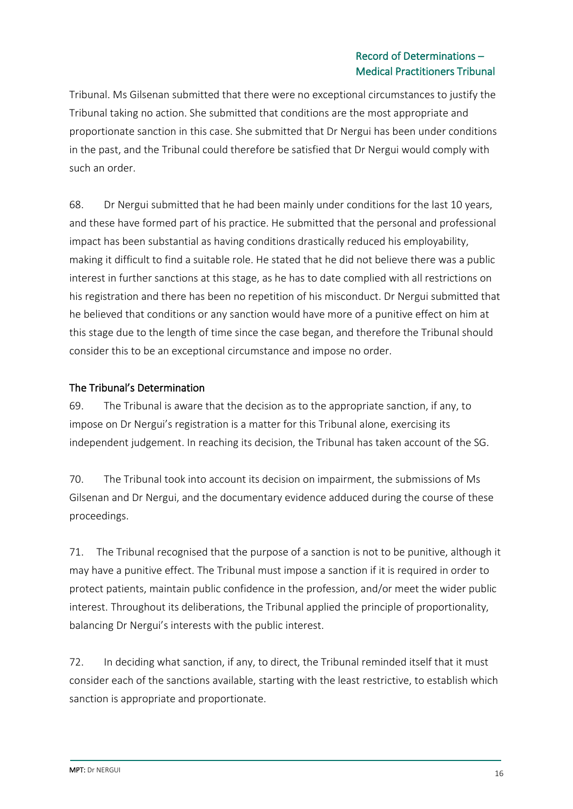Tribunal. Ms Gilsenan submitted that there were no exceptional circumstances to justify the Tribunal taking no action. She submitted that conditions are the most appropriate and proportionate sanction in this case. She submitted that Dr Nergui has been under conditions in the past, and the Tribunal could therefore be satisfied that Dr Nergui would comply with such an order.

68. Dr Nergui submitted that he had been mainly under conditions for the last 10 years, and these have formed part of his practice. He submitted that the personal and professional impact has been substantial as having conditions drastically reduced his employability, making it difficult to find a suitable role. He stated that he did not believe there was a public interest in further sanctions at this stage, as he has to date complied with all restrictions on his registration and there has been no repetition of his misconduct. Dr Nergui submitted that he believed that conditions or any sanction would have more of a punitive effect on him at this stage due to the length of time since the case began, and therefore the Tribunal should consider this to be an exceptional circumstance and impose no order.

## The Tribunal's Determination

69. The Tribunal is aware that the decision as to the appropriate sanction, if any, to impose on Dr Nergui's registration is a matter for this Tribunal alone, exercising its independent judgement. In reaching its decision, the Tribunal has taken account of the SG.

70. The Tribunal took into account its decision on impairment, the submissions of Ms Gilsenan and Dr Nergui, and the documentary evidence adduced during the course of these proceedings.

71. The Tribunal recognised that the purpose of a sanction is not to be punitive, although it may have a punitive effect. The Tribunal must impose a sanction if it is required in order to protect patients, maintain public confidence in the profession, and/or meet the wider public interest. Throughout its deliberations, the Tribunal applied the principle of proportionality, balancing Dr Nergui's interests with the public interest.

72. In deciding what sanction, if any, to direct, the Tribunal reminded itself that it must consider each of the sanctions available, starting with the least restrictive, to establish which sanction is appropriate and proportionate.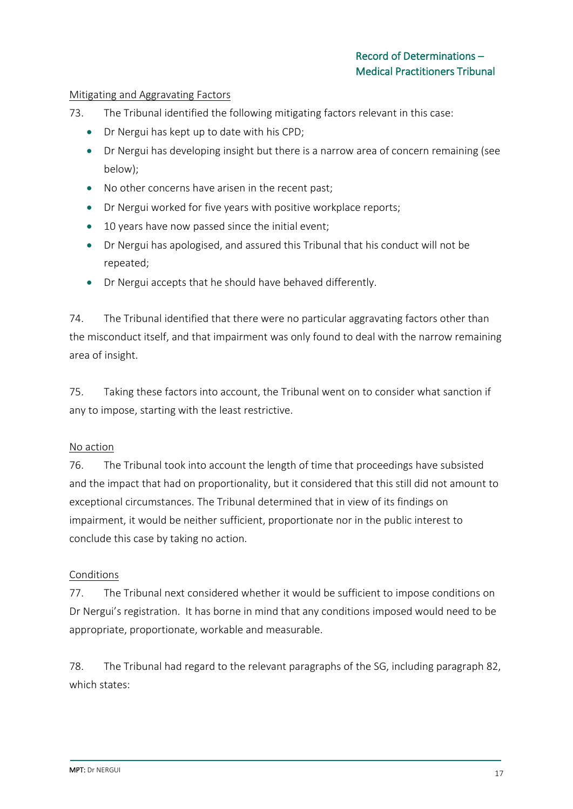#### Mitigating and Aggravating Factors

- 73. The Tribunal identified the following mitigating factors relevant in this case:
	- Dr Nergui has kept up to date with his CPD;
	- Dr Nergui has developing insight but there is a narrow area of concern remaining (see below);
	- No other concerns have arisen in the recent past;
	- Dr Nergui worked for five years with positive workplace reports;
	- 10 years have now passed since the initial event;
	- Dr Nergui has apologised, and assured this Tribunal that his conduct will not be repeated;
	- Dr Nergui accepts that he should have behaved differently.

74. The Tribunal identified that there were no particular aggravating factors other than the misconduct itself, and that impairment was only found to deal with the narrow remaining area of insight.

75. Taking these factors into account, the Tribunal went on to consider what sanction if any to impose, starting with the least restrictive.

### No action

76. The Tribunal took into account the length of time that proceedings have subsisted and the impact that had on proportionality, but it considered that this still did not amount to exceptional circumstances. The Tribunal determined that in view of its findings on impairment, it would be neither sufficient, proportionate nor in the public interest to conclude this case by taking no action.

### Conditions

77. The Tribunal next considered whether it would be sufficient to impose conditions on Dr Nergui's registration. It has borne in mind that any conditions imposed would need to be appropriate, proportionate, workable and measurable.

78. The Tribunal had regard to the relevant paragraphs of the SG, including paragraph 82, which states: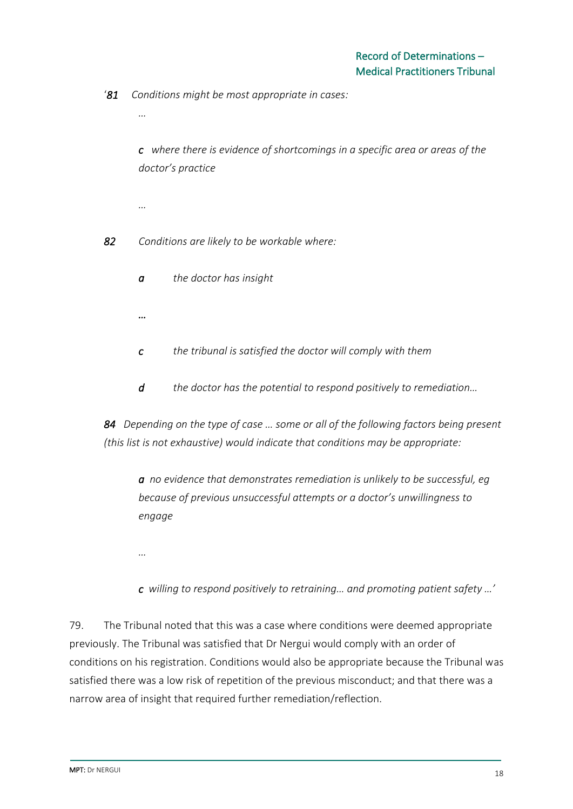'*81 Conditions might be most appropriate in cases:*

*c where there is evidence of shortcomings in a specific area or areas of the doctor's practice*

*…*

*…*

*82 Conditions are likely to be workable where:* 

- *a the doctor has insight*
- *…*
- *c the tribunal is satisfied the doctor will comply with them*
- *d the doctor has the potential to respond positively to remediation…*

*84 Depending on the type of case … some or all of the following factors being present (this list is not exhaustive) would indicate that conditions may be appropriate:*

*a no evidence that demonstrates remediation is unlikely to be successful, eg because of previous unsuccessful attempts or a doctor's unwillingness to engage*

- *…*
- *c willing to respond positively to retraining… and promoting patient safety …'*

79. The Tribunal noted that this was a case where conditions were deemed appropriate previously. The Tribunal was satisfied that Dr Nergui would comply with an order of conditions on his registration. Conditions would also be appropriate because the Tribunal was satisfied there was a low risk of repetition of the previous misconduct; and that there was a narrow area of insight that required further remediation/reflection.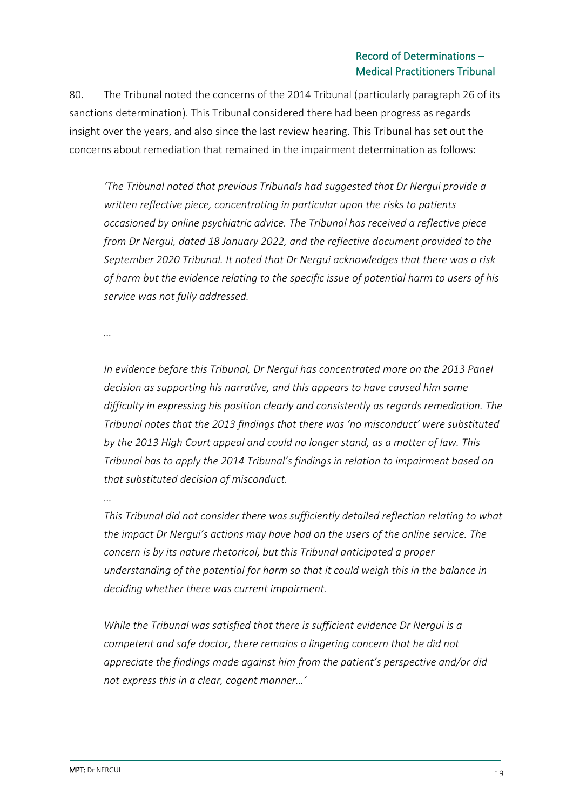80. The Tribunal noted the concerns of the 2014 Tribunal (particularly paragraph 26 of its sanctions determination). This Tribunal considered there had been progress as regards insight over the years, and also since the last review hearing. This Tribunal has set out the concerns about remediation that remained in the impairment determination as follows:

*'The Tribunal noted that previous Tribunals had suggested that Dr Nergui provide a written reflective piece, concentrating in particular upon the risks to patients occasioned by online psychiatric advice. The Tribunal has received a reflective piece from Dr Nergui, dated 18 January 2022, and the reflective document provided to the September 2020 Tribunal. It noted that Dr Nergui acknowledges that there was a risk of harm but the evidence relating to the specific issue of potential harm to users of his service was not fully addressed.*

*…*

*In evidence before this Tribunal, Dr Nergui has concentrated more on the 2013 Panel decision as supporting his narrative, and this appears to have caused him some difficulty in expressing his position clearly and consistently as regards remediation. The Tribunal notes that the 2013 findings that there was 'no misconduct' were substituted by the 2013 High Court appeal and could no longer stand, as a matter of law. This Tribunal has to apply the 2014 Tribunal's findings in relation to impairment based on that substituted decision of misconduct.*

*…*

*This Tribunal did not consider there was sufficiently detailed reflection relating to what the impact Dr Nergui's actions may have had on the users of the online service. The concern is by its nature rhetorical, but this Tribunal anticipated a proper understanding of the potential for harm so that it could weigh this in the balance in deciding whether there was current impairment.*

*While the Tribunal was satisfied that there is sufficient evidence Dr Nergui is a competent and safe doctor, there remains a lingering concern that he did not appreciate the findings made against him from the patient's perspective and/or did not express this in a clear, cogent manner…'*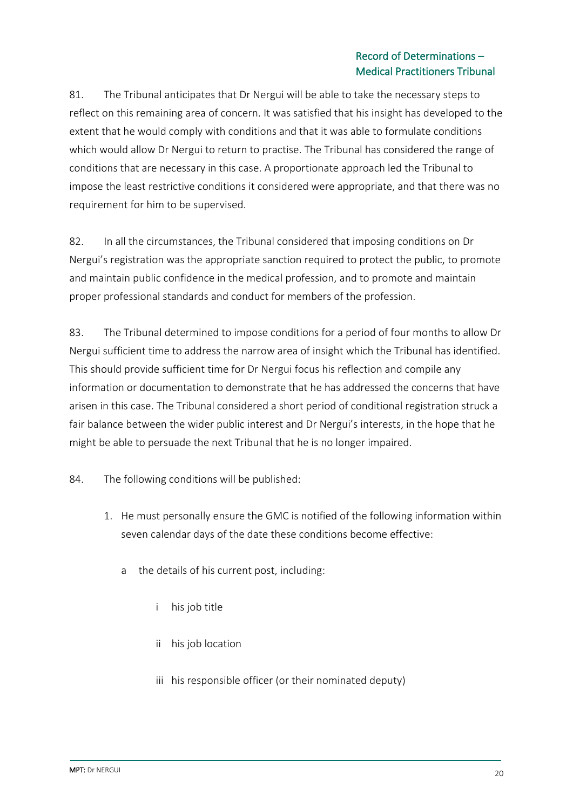81. The Tribunal anticipates that Dr Nergui will be able to take the necessary steps to reflect on this remaining area of concern. It was satisfied that his insight has developed to the extent that he would comply with conditions and that it was able to formulate conditions which would allow Dr Nergui to return to practise. The Tribunal has considered the range of conditions that are necessary in this case. A proportionate approach led the Tribunal to impose the least restrictive conditions it considered were appropriate, and that there was no requirement for him to be supervised.

82. In all the circumstances, the Tribunal considered that imposing conditions on Dr Nergui's registration was the appropriate sanction required to protect the public, to promote and maintain public confidence in the medical profession, and to promote and maintain proper professional standards and conduct for members of the profession.

83. The Tribunal determined to impose conditions for a period of four months to allow Dr Nergui sufficient time to address the narrow area of insight which the Tribunal has identified. This should provide sufficient time for Dr Nergui focus his reflection and compile any information or documentation to demonstrate that he has addressed the concerns that have arisen in this case. The Tribunal considered a short period of conditional registration struck a fair balance between the wider public interest and Dr Nergui's interests, in the hope that he might be able to persuade the next Tribunal that he is no longer impaired.

84. The following conditions will be published:

- 1. He must personally ensure the GMC is notified of the following information within seven calendar days of the date these conditions become effective:
	- a the details of his current post, including:
		- i his job title
		- ii his job location
		- iii his responsible officer (or their nominated deputy)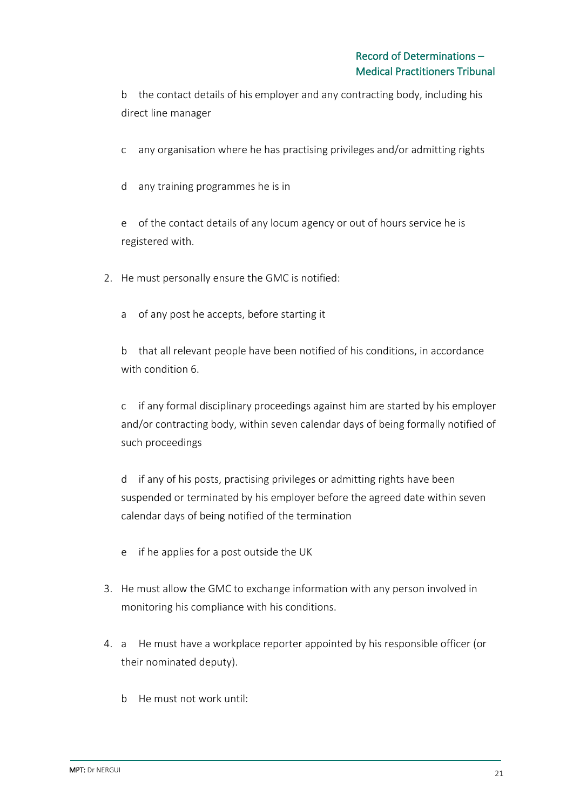b the contact details of his employer and any contracting body, including his direct line manager

c any organisation where he has practising privileges and/or admitting rights

d any training programmes he is in

e of the contact details of any locum agency or out of hours service he is registered with.

2. He must personally ensure the GMC is notified:

a of any post he accepts, before starting it

b that all relevant people have been notified of his conditions, in accordance with condition 6.

c if any formal disciplinary proceedings against him are started by his employer and/or contracting body, within seven calendar days of being formally notified of such proceedings

d if any of his posts, practising privileges or admitting rights have been suspended or terminated by his employer before the agreed date within seven calendar days of being notified of the termination

- e if he applies for a post outside the UK
- 3. He must allow the GMC to exchange information with any person involved in monitoring his compliance with his conditions.
- 4. a He must have a workplace reporter appointed by his responsible officer (or their nominated deputy).
	- b He must not work until: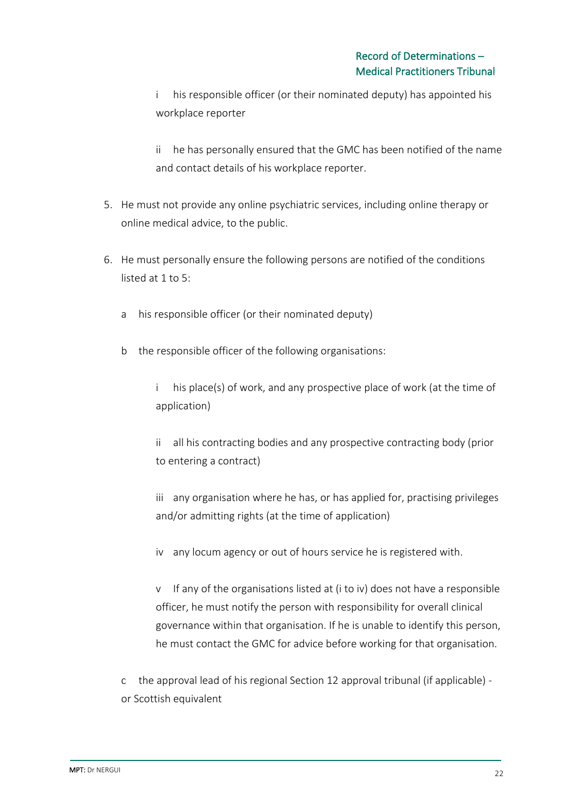i his responsible officer (or their nominated deputy) has appointed his workplace reporter

ii he has personally ensured that the GMC has been notified of the name and contact details of his workplace reporter.

- 5. He must not provide any online psychiatric services, including online therapy or online medical advice, to the public.
- 6. He must personally ensure the following persons are notified of the conditions listed at 1 to 5:
	- a his responsible officer (or their nominated deputy)
	- b the responsible officer of the following organisations:
		- i his place(s) of work, and any prospective place of work (at the time of application)
		- ii all his contracting bodies and any prospective contracting body (prior to entering a contract)
		- iii any organisation where he has, or has applied for, practising privileges and/or admitting rights (at the time of application)
		- iv any locum agency or out of hours service he is registered with.

v If any of the organisations listed at (i to iv) does not have a responsible officer, he must notify the person with responsibility for overall clinical governance within that organisation. If he is unable to identify this person, he must contact the GMC for advice before working for that organisation.

c the approval lead of his regional Section 12 approval tribunal (if applicable) or Scottish equivalent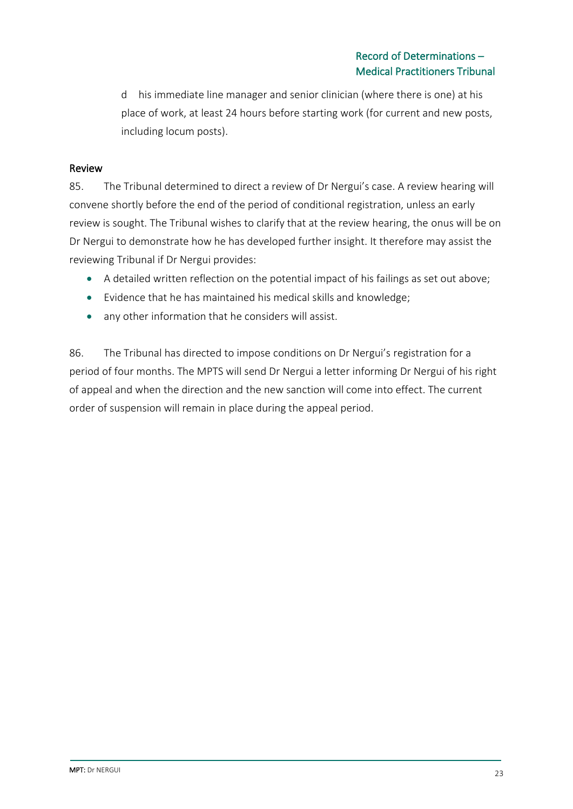d his immediate line manager and senior clinician (where there is one) at his place of work, at least 24 hours before starting work (for current and new posts, including locum posts).

#### Review

85. The Tribunal determined to direct a review of Dr Nergui's case. A review hearing will convene shortly before the end of the period of conditional registration, unless an early review is sought. The Tribunal wishes to clarify that at the review hearing, the onus will be on Dr Nergui to demonstrate how he has developed further insight. It therefore may assist the reviewing Tribunal if Dr Nergui provides:

- A detailed written reflection on the potential impact of his failings as set out above;
- Evidence that he has maintained his medical skills and knowledge;
- any other information that he considers will assist.

86. The Tribunal has directed to impose conditions on Dr Nergui's registration for a period of four months. The MPTS will send Dr Nergui a letter informing Dr Nergui of his right of appeal and when the direction and the new sanction will come into effect. The current order of suspension will remain in place during the appeal period.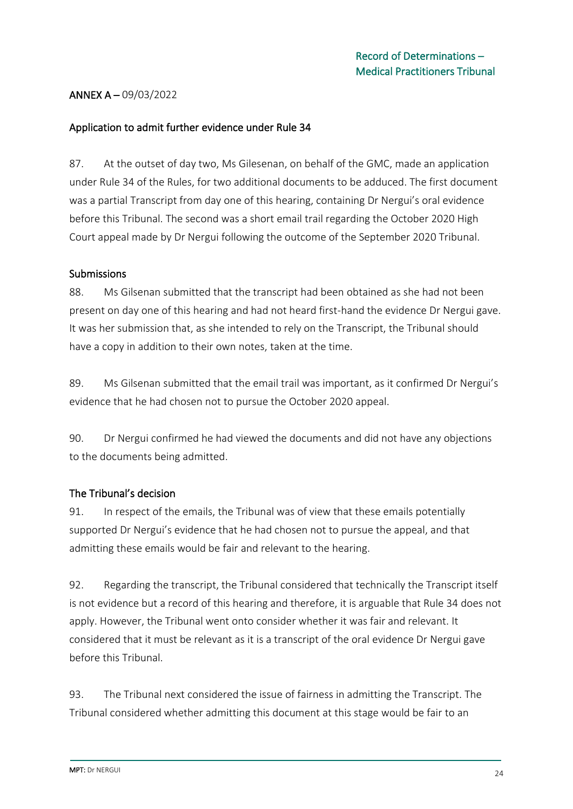### ANNEX A – 09/03/2022

#### Application to admit further evidence under Rule 34

87. At the outset of day two, Ms Gilesenan, on behalf of the GMC, made an application under Rule 34 of the Rules, for two additional documents to be adduced. The first document was a partial Transcript from day one of this hearing, containing Dr Nergui's oral evidence before this Tribunal. The second was a short email trail regarding the October 2020 High Court appeal made by Dr Nergui following the outcome of the September 2020 Tribunal.

#### Submissions

88. Ms Gilsenan submitted that the transcript had been obtained as she had not been present on day one of this hearing and had not heard first-hand the evidence Dr Nergui gave. It was her submission that, as she intended to rely on the Transcript, the Tribunal should have a copy in addition to their own notes, taken at the time.

89. Ms Gilsenan submitted that the email trail was important, as it confirmed Dr Nergui's evidence that he had chosen not to pursue the October 2020 appeal.

90. Dr Nergui confirmed he had viewed the documents and did not have any objections to the documents being admitted.

### The Tribunal's decision

91. In respect of the emails, the Tribunal was of view that these emails potentially supported Dr Nergui's evidence that he had chosen not to pursue the appeal, and that admitting these emails would be fair and relevant to the hearing.

92. Regarding the transcript, the Tribunal considered that technically the Transcript itself is not evidence but a record of this hearing and therefore, it is arguable that Rule 34 does not apply. However, the Tribunal went onto consider whether it was fair and relevant. It considered that it must be relevant as it is a transcript of the oral evidence Dr Nergui gave before this Tribunal.

93. The Tribunal next considered the issue of fairness in admitting the Transcript. The Tribunal considered whether admitting this document at this stage would be fair to an